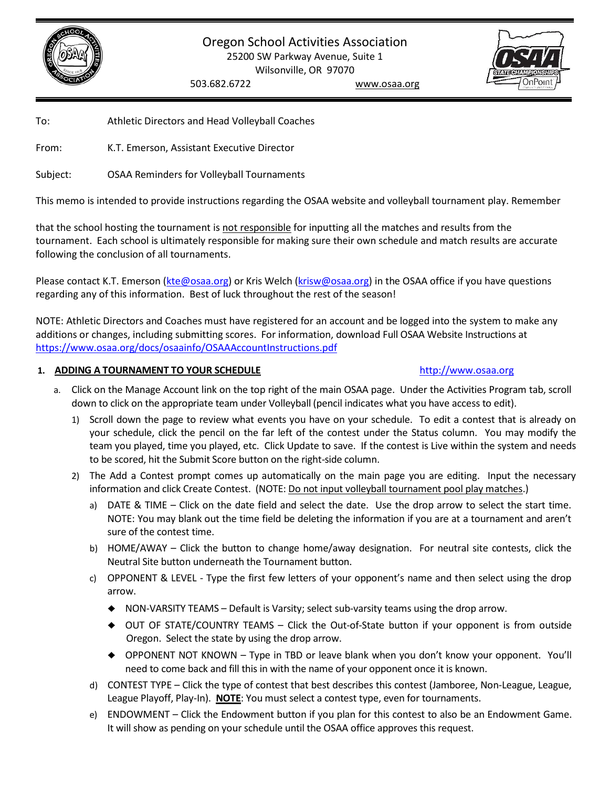



To: Athletic Directors and Head Volleyball Coaches

From: K.T. Emerson, Assistant Executive Director

Subject: OSAA Reminders for Volleyball Tournaments

This memo is intended to provide instructions regarding the OSAA website and volleyball tournament play. Remember

that the school hosting the tournament is not responsible for inputting all the matches and results from the tournament. Each school is ultimately responsible for making sure their own schedule and match results are accurate following the conclusion of all tournaments.

Please contact K.T. Emerson [\(kte@osaa.org\)](mailto:kte@osaa.org) or Kris Welch [\(krisw@osaa.org\)](mailto:krisw@osaa.org) in the OSAA office if you have questions regarding any of this information. Best of luck throughout the rest of the season!

NOTE: Athletic Directors and Coaches must have registered for an account and be logged into the system to make any additions or changes, including submitting scores. For information, download Full OSAA Website Instructions at <https://www.osaa.org/docs/osaainfo/OSAAAccountInstructions.pdf>

### **1. ADDING A TOURNAMENT TO YOUR SCHEDULE** [http://www.osaa.org](http://www.osaa.org/)

### a. Click on the Manage Account link on the top right of the main OSAA page. Under the Activities Program tab, scroll down to click on the appropriate team under Volleyball (pencil indicates what you have access to edit).

- 1) Scroll down the page to review what events you have on your schedule. To edit a contest that is already on your schedule, click the pencil on the far left of the contest under the Status column. You may modify the team you played, time you played, etc. Click Update to save. If the contest is Live within the system and needs to be scored, hit the Submit Score button on the right-side column.
- 2) The Add a Contest prompt comes up automatically on the main page you are editing. Input the necessary information and click Create Contest. (NOTE: Do not input volleyball tournament pool play matches.)
	- a) DATE & TIME Click on the date field and select the date. Use the drop arrow to select the start time. NOTE: You may blank out the time field be deleting the information if you are at a tournament and aren't sure of the contest time.
	- b) HOME/AWAY Click the button to change home/away designation. For neutral site contests, click the Neutral Site button underneath the Tournament button.
	- c) OPPONENT & LEVEL Type the first few letters of your opponent's name and then select using the drop arrow.
		- $\blacklozenge$  NON-VARSITY TEAMS Default is Varsity; select sub-varsity teams using the drop arrow.
		- ♦ OUT OF STATE/COUNTRY TEAMS Click the Out-of-State button if your opponent is from outside Oregon. Select the state by using the drop arrow.
		- ♦ OPPONENT NOT KNOWN Type in TBD or leave blank when you don'<sup>t</sup> know your opponent. You'll need to come back and fill this in with the name of your opponent once it is known.
	- d) CONTEST TYPE Click the type of contest that best describes this contest (Jamboree, Non-League, League, League Playoff, Play-In). **NOTE**: You must select a contest type, even for tournaments.
	- e) ENDOWMENT Click the Endowment button if you plan for this contest to also be an Endowment Game. It will show as pending on your schedule until the OSAA office approves this request.